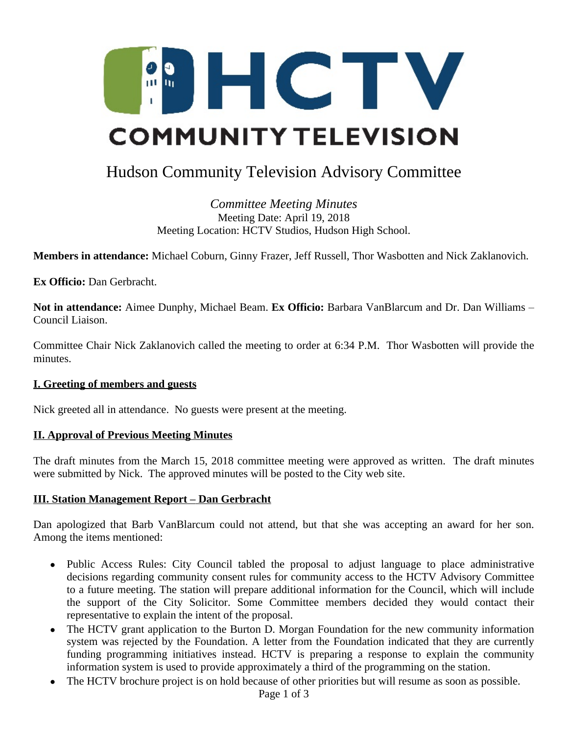

# Hudson Community Television Advisory Committee

*Committee Meeting Minutes* Meeting Date: April 19, 2018 Meeting Location: HCTV Studios, Hudson High School.

**Members in attendance:** Michael Coburn, Ginny Frazer, Jeff Russell, Thor Wasbotten and Nick Zaklanovich.

**Ex Officio:** Dan Gerbracht.

**Not in attendance:** Aimee Dunphy, Michael Beam. **Ex Officio:** Barbara VanBlarcum and Dr. Dan Williams – Council Liaison.

Committee Chair Nick Zaklanovich called the meeting to order at 6:34 P.M. Thor Wasbotten will provide the minutes.

### **I. Greeting of members and guests**

Nick greeted all in attendance. No guests were present at the meeting.

### **II. Approval of Previous Meeting Minutes**

The draft minutes from the March 15, 2018 committee meeting were approved as written. The draft minutes were submitted by Nick. The approved minutes will be posted to the City web site.

### **III. Station Management Report – Dan Gerbracht**

Dan apologized that Barb VanBlarcum could not attend, but that she was accepting an award for her son. Among the items mentioned:

- Public Access Rules: City Council tabled the proposal to adjust language to place administrative decisions regarding community consent rules for community access to the HCTV Advisory Committee to a future meeting. The station will prepare additional information for the Council, which will include the support of the City Solicitor. Some Committee members decided they would contact their representative to explain the intent of the proposal.
- The HCTV grant application to the Burton D. Morgan Foundation for the new community information system was rejected by the Foundation. A letter from the Foundation indicated that they are currently funding programming initiatives instead. HCTV is preparing a response to explain the community information system is used to provide approximately a third of the programming on the station.
- The HCTV brochure project is on hold because of other priorities but will resume as soon as possible.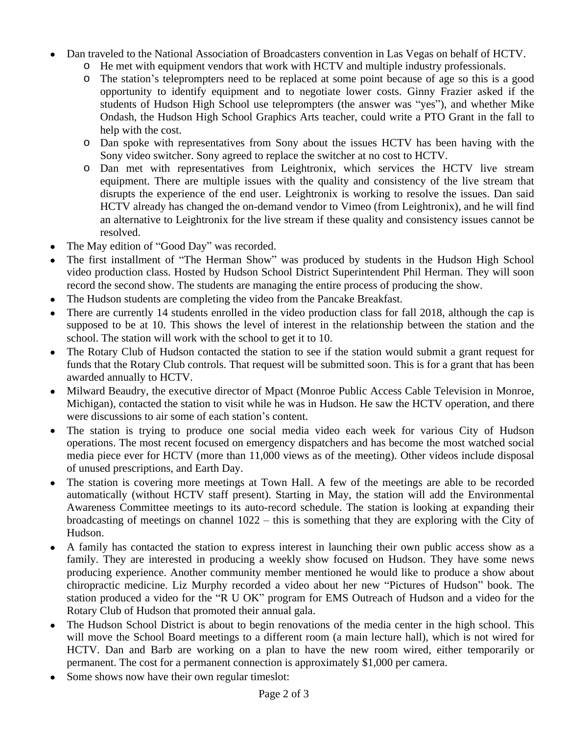- Dan traveled to the National Association of Broadcasters convention in Las Vegas on behalf of HCTV.
	- o He met with equipment vendors that work with HCTV and multiple industry professionals.
	- o The station's teleprompters need to be replaced at some point because of age so this is a good opportunity to identify equipment and to negotiate lower costs. Ginny Frazier asked if the students of Hudson High School use teleprompters (the answer was "yes"), and whether Mike Ondash, the Hudson High School Graphics Arts teacher, could write a PTO Grant in the fall to help with the cost.
	- o Dan spoke with representatives from Sony about the issues HCTV has been having with the Sony video switcher. Sony agreed to replace the switcher at no cost to HCTV.
	- o Dan met with representatives from Leightronix, which services the HCTV live stream equipment. There are multiple issues with the quality and consistency of the live stream that disrupts the experience of the end user. Leightronix is working to resolve the issues. Dan said HCTV already has changed the on-demand vendor to Vimeo (from Leightronix), and he will find an alternative to Leightronix for the live stream if these quality and consistency issues cannot be resolved.
- The May edition of "Good Day" was recorded.
- The first installment of "The Herman Show" was produced by students in the Hudson High School video production class. Hosted by Hudson School District Superintendent Phil Herman. They will soon record the second show. The students are managing the entire process of producing the show.
- The Hudson students are completing the video from the Pancake Breakfast.
- There are currently 14 students enrolled in the video production class for fall 2018, although the cap is supposed to be at 10. This shows the level of interest in the relationship between the station and the school. The station will work with the school to get it to 10.
- The Rotary Club of Hudson contacted the station to see if the station would submit a grant request for funds that the Rotary Club controls. That request will be submitted soon. This is for a grant that has been awarded annually to HCTV.
- Milward Beaudry, the executive director of Mpact (Monroe Public Access Cable Television in Monroe, Michigan), contacted the station to visit while he was in Hudson. He saw the HCTV operation, and there were discussions to air some of each station's content.
- The station is trying to produce one social media video each week for various City of Hudson operations. The most recent focused on emergency dispatchers and has become the most watched social media piece ever for HCTV (more than 11,000 views as of the meeting). Other videos include disposal of unused prescriptions, and Earth Day.
- The station is covering more meetings at Town Hall. A few of the meetings are able to be recorded automatically (without HCTV staff present). Starting in May, the station will add the Environmental Awareness Committee meetings to its auto-record schedule. The station is looking at expanding their broadcasting of meetings on channel 1022 – this is something that they are exploring with the City of Hudson.
- A family has contacted the station to express interest in launching their own public access show as a family. They are interested in producing a weekly show focused on Hudson. They have some news producing experience. Another community member mentioned he would like to produce a show about chiropractic medicine. Liz Murphy recorded a video about her new "Pictures of Hudson" book. The station produced a video for the "R U OK" program for EMS Outreach of Hudson and a video for the Rotary Club of Hudson that promoted their annual gala.
- The Hudson School District is about to begin renovations of the media center in the high school. This will move the School Board meetings to a different room (a main lecture hall), which is not wired for HCTV. Dan and Barb are working on a plan to have the new room wired, either temporarily or permanent. The cost for a permanent connection is approximately \$1,000 per camera.
- Some shows now have their own regular timeslot: